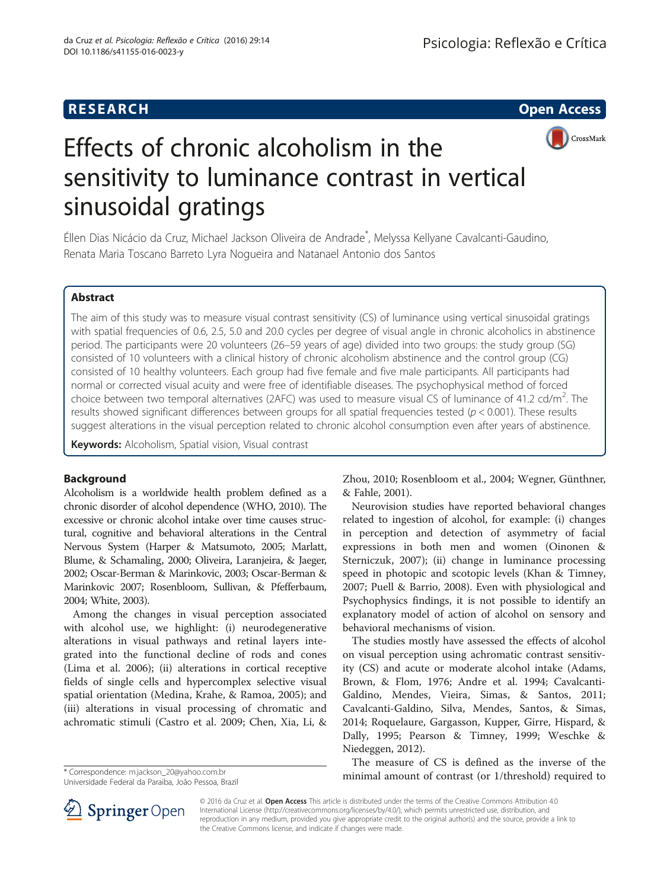

# Effects of chronic alcoholism in the sensitivity to luminance contrast in vertical sinusoidal gratings

Éllen Dias Nicácio da Cruz, Michael Jackson Oliveira de Andrade\* , Melyssa Kellyane Cavalcanti-Gaudino, Renata Maria Toscano Barreto Lyra Nogueira and Natanael Antonio dos Santos

# Abstract

The aim of this study was to measure visual contrast sensitivity (CS) of luminance using vertical sinusoidal gratings with spatial frequencies of 0.6, 2.5, 5.0 and 20.0 cycles per degree of visual angle in chronic alcoholics in abstinence period. The participants were 20 volunteers (26–59 years of age) divided into two groups: the study group (SG) consisted of 10 volunteers with a clinical history of chronic alcoholism abstinence and the control group (CG) consisted of 10 healthy volunteers. Each group had five female and five male participants. All participants had normal or corrected visual acuity and were free of identifiable diseases. The psychophysical method of forced choice between two temporal alternatives (2AFC) was used to measure visual CS of luminance of 41.2 cd/m<sup>2</sup>. The results showed significant differences between groups for all spatial frequencies tested ( $p < 0.001$ ). These results suggest alterations in the visual perception related to chronic alcohol consumption even after years of abstinence.

Keywords: Alcoholism, Spatial vision, Visual contrast

# Background

Alcoholism is a worldwide health problem defined as a chronic disorder of alcohol dependence (WHO, [2010\)](#page-5-0). The excessive or chronic alcohol intake over time causes structural, cognitive and behavioral alterations in the Central Nervous System (Harper & Matsumoto, [2005](#page-4-0); Marlatt, Blume, & Schamaling, [2000;](#page-4-0) Oliveira, Laranjeira, & Jaeger, [2002;](#page-4-0) Oscar-Berman & Marinkovic, [2003;](#page-4-0) Oscar-Berman & Marinkovic [2007;](#page-4-0) Rosenbloom, Sullivan, & Pfefferbaum, [2004;](#page-5-0) White, [2003](#page-5-0)).

Among the changes in visual perception associated with alcohol use, we highlight: (i) neurodegenerative alterations in visual pathways and retinal layers integrated into the functional decline of rods and cones (Lima et al. [2006\)](#page-4-0); (ii) alterations in cortical receptive fields of single cells and hypercomplex selective visual spatial orientation (Medina, Krahe, & Ramoa, [2005](#page-4-0)); and (iii) alterations in visual processing of chromatic and achromatic stimuli (Castro et al. [2009;](#page-4-0) Chen, Xia, Li, &

Universidade Federal da Paraiba, João Pessoa, Brazil

Zhou, [2010](#page-4-0); Rosenbloom et al., [2004](#page-5-0); Wegner, Günthner, & Fahle, [2001](#page-5-0)).

Neurovision studies have reported behavioral changes related to ingestion of alcohol, for example: (i) changes in perception and detection of asymmetry of facial expressions in both men and women (Oinonen & Sterniczuk, [2007\)](#page-4-0); (ii) change in luminance processing speed in photopic and scotopic levels (Khan & Timney, [2007](#page-4-0); Puell & Barrio, [2008\)](#page-4-0). Even with physiological and Psychophysics findings, it is not possible to identify an explanatory model of action of alcohol on sensory and behavioral mechanisms of vision.

The studies mostly have assessed the effects of alcohol on visual perception using achromatic contrast sensitivity (CS) and acute or moderate alcohol intake (Adams, Brown, & Flom, [1976;](#page-4-0) Andre et al. [1994](#page-4-0); Cavalcanti-Galdino, Mendes, Vieira, Simas, & Santos, [2011](#page-4-0); Cavalcanti-Galdino, Silva, Mendes, Santos, & Simas, [2014](#page-4-0); Roquelaure, Gargasson, Kupper, Girre, Hispard, & Dally, [1995;](#page-5-0) Pearson & Timney, [1999;](#page-4-0) Weschke & Niedeggen, [2012\)](#page-5-0).

The measure of CS is defined as the inverse of the minimal amount of contrast (or 1/threshold) required to \* Correspondence: [m.jackson\\_20@yahoo.com.br](mailto:m.jackson_20@yahoo.com.br)



© 2016 da Cruz et al. Open Access This article is distributed under the terms of the Creative Commons Attribution 4.0 International License ([http://creativecommons.org/licenses/by/4.0/\)](http://creativecommons.org/licenses/by/4.0/), which permits unrestricted use, distribution, and reproduction in any medium, provided you give appropriate credit to the original author(s) and the source, provide a link to the Creative Commons license, and indicate if changes were made.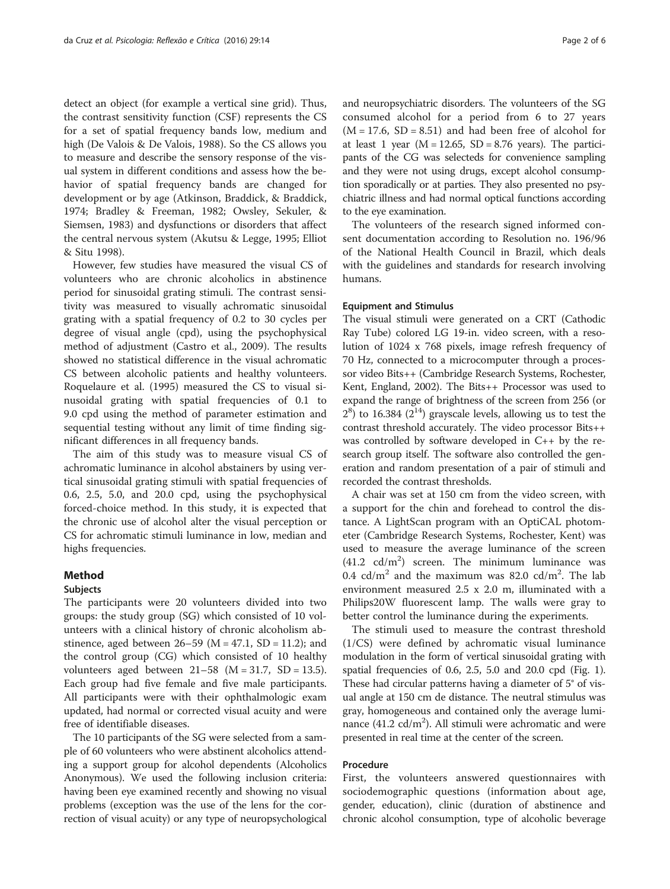detect an object (for example a vertical sine grid). Thus, the contrast sensitivity function (CSF) represents the CS for a set of spatial frequency bands low, medium and high (De Valois & De Valois, [1988\)](#page-4-0). So the CS allows you to measure and describe the sensory response of the visual system in different conditions and assess how the behavior of spatial frequency bands are changed for development or by age (Atkinson, Braddick, & Braddick, [1974](#page-4-0); Bradley & Freeman, [1982;](#page-4-0) Owsley, Sekuler, & Siemsen, [1983\)](#page-4-0) and dysfunctions or disorders that affect the central nervous system (Akutsu & Legge, [1995;](#page-4-0) Elliot & Situ [1998](#page-4-0)).

However, few studies have measured the visual CS of volunteers who are chronic alcoholics in abstinence period for sinusoidal grating stimuli. The contrast sensitivity was measured to visually achromatic sinusoidal grating with a spatial frequency of 0.2 to 30 cycles per degree of visual angle (cpd), using the psychophysical method of adjustment (Castro et al., [2009](#page-4-0)). The results showed no statistical difference in the visual achromatic CS between alcoholic patients and healthy volunteers. Roquelaure et al. [\(1995\)](#page-5-0) measured the CS to visual sinusoidal grating with spatial frequencies of 0.1 to 9.0 cpd using the method of parameter estimation and sequential testing without any limit of time finding significant differences in all frequency bands.

The aim of this study was to measure visual CS of achromatic luminance in alcohol abstainers by using vertical sinusoidal grating stimuli with spatial frequencies of 0.6, 2.5, 5.0, and 20.0 cpd, using the psychophysical forced-choice method. In this study, it is expected that the chronic use of alcohol alter the visual perception or CS for achromatic stimuli luminance in low, median and highs frequencies.

# Method

#### Subjects

The participants were 20 volunteers divided into two groups: the study group (SG) which consisted of 10 volunteers with a clinical history of chronic alcoholism abstinence, aged between  $26-59$  (M =  $47.1$ , SD = 11.2); and the control group (CG) which consisted of 10 healthy volunteers aged between  $21-58$  (M = 31.7, SD = 13.5). Each group had five female and five male participants. All participants were with their ophthalmologic exam updated, had normal or corrected visual acuity and were free of identifiable diseases.

The 10 participants of the SG were selected from a sample of 60 volunteers who were abstinent alcoholics attending a support group for alcohol dependents (Alcoholics Anonymous). We used the following inclusion criteria: having been eye examined recently and showing no visual problems (exception was the use of the lens for the correction of visual acuity) or any type of neuropsychological and neuropsychiatric disorders. The volunteers of the SG consumed alcohol for a period from 6 to 27 years  $(M = 17.6, SD = 8.51)$  and had been free of alcohol for at least 1 year ( $M = 12.65$ ,  $SD = 8.76$  years). The participants of the CG was selecteds for convenience sampling and they were not using drugs, except alcohol consumption sporadically or at parties. They also presented no psychiatric illness and had normal optical functions according to the eye examination.

The volunteers of the research signed informed consent documentation according to Resolution no. 196/96 of the National Health Council in Brazil, which deals with the guidelines and standards for research involving humans.

#### Equipment and Stimulus

The visual stimuli were generated on a CRT (Cathodic Ray Tube) colored LG 19-in. video screen, with a resolution of 1024 x 768 pixels, image refresh frequency of 70 Hz, connected to a microcomputer through a processor video Bits++ (Cambridge Research Systems, Rochester, Kent, England, 2002). The Bits++ Processor was used to expand the range of brightness of the screen from 256 (or  $2<sup>8</sup>$ ) to 16.384 ( $2<sup>14</sup>$ ) grayscale levels, allowing us to test the contrast threshold accurately. The video processor Bits++ was controlled by software developed in C++ by the research group itself. The software also controlled the generation and random presentation of a pair of stimuli and recorded the contrast thresholds.

A chair was set at 150 cm from the video screen, with a support for the chin and forehead to control the distance. A LightScan program with an OptiCAL photometer (Cambridge Research Systems, Rochester, Kent) was used to measure the average luminance of the screen  $(41.2 \text{ cd/m}^2)$  screen. The minimum luminance was 0.4  $cd/m<sup>2</sup>$  and the maximum was 82.0  $cd/m<sup>2</sup>$ . The lab environment measured 2.5 x 2.0 m, illuminated with a Philips20W fluorescent lamp. The walls were gray to better control the luminance during the experiments.

The stimuli used to measure the contrast threshold (1/CS) were defined by achromatic visual luminance modulation in the form of vertical sinusoidal grating with spatial frequencies of 0.6, 2.5, 5.0 and 20.0 cpd (Fig. [1](#page-2-0)). These had circular patterns having a diameter of 5° of visual angle at 150 cm de distance. The neutral stimulus was gray, homogeneous and contained only the average luminance  $(41.2 \text{ cd/m}^2)$ . All stimuli were achromatic and were presented in real time at the center of the screen.

## Procedure

First, the volunteers answered questionnaires with sociodemographic questions (information about age, gender, education), clinic (duration of abstinence and chronic alcohol consumption, type of alcoholic beverage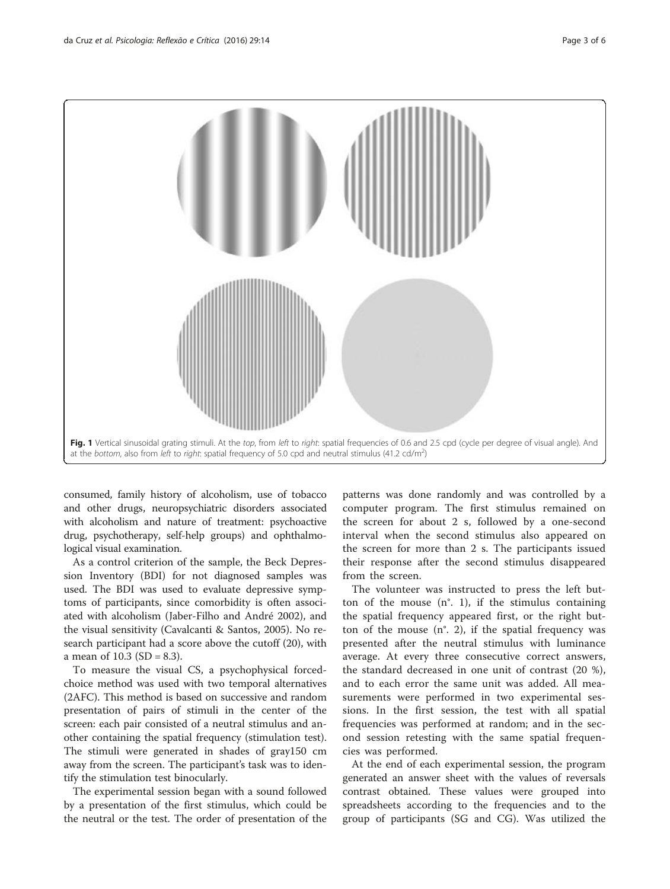<span id="page-2-0"></span>

consumed, family history of alcoholism, use of tobacco and other drugs, neuropsychiatric disorders associated with alcoholism and nature of treatment: psychoactive drug, psychotherapy, self-help groups) and ophthalmological visual examination.

As a control criterion of the sample, the Beck Depression Inventory (BDI) for not diagnosed samples was used. The BDI was used to evaluate depressive symptoms of participants, since comorbidity is often associated with alcoholism (Jaber-Filho and André [2002\)](#page-4-0), and the visual sensitivity (Cavalcanti & Santos, [2005](#page-4-0)). No research participant had a score above the cutoff (20), with a mean of  $10.3$  (SD = 8.3).

To measure the visual CS, a psychophysical forcedchoice method was used with two temporal alternatives (2AFC). This method is based on successive and random presentation of pairs of stimuli in the center of the screen: each pair consisted of a neutral stimulus and another containing the spatial frequency (stimulation test). The stimuli were generated in shades of gray150 cm away from the screen. The participant's task was to identify the stimulation test binocularly.

The experimental session began with a sound followed by a presentation of the first stimulus, which could be the neutral or the test. The order of presentation of the

patterns was done randomly and was controlled by a computer program. The first stimulus remained on the screen for about 2 s, followed by a one-second interval when the second stimulus also appeared on the screen for more than 2 s. The participants issued their response after the second stimulus disappeared from the screen.

The volunteer was instructed to press the left button of the mouse  $(n^{\circ}, 1)$ , if the stimulus containing the spatial frequency appeared first, or the right button of the mouse  $(n^{\circ}, 2)$ , if the spatial frequency was presented after the neutral stimulus with luminance average. At every three consecutive correct answers, the standard decreased in one unit of contrast (20 %), and to each error the same unit was added. All measurements were performed in two experimental sessions. In the first session, the test with all spatial frequencies was performed at random; and in the second session retesting with the same spatial frequencies was performed.

At the end of each experimental session, the program generated an answer sheet with the values of reversals contrast obtained. These values were grouped into spreadsheets according to the frequencies and to the group of participants (SG and CG). Was utilized the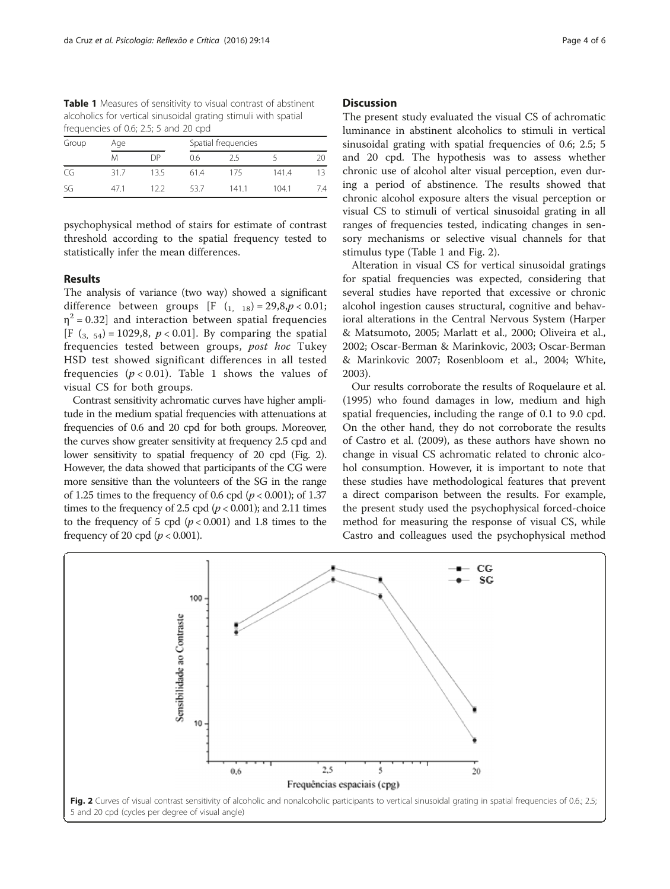Table 1 Measures of sensitivity to visual contrast of abstinent alcoholics for vertical sinusoidal grating stimuli with spatial frequencies of 0.6; 2.5; 5 and 20 cpd

| Group | Age  |      | Spatial frequencies |      |       |     |
|-------|------|------|---------------------|------|-------|-----|
|       | Μ    | DP   | 0.6                 | 25   |       | 20  |
| CG    | 31.7 | 13.5 | 61.4                | 175  | 141.4 | 13  |
| SG    | 47 1 | 122  | 53.7                | 1411 | 104.1 | 7.4 |

psychophysical method of stairs for estimate of contrast threshold according to the spatial frequency tested to statistically infer the mean differences.

## Results

The analysis of variance (two way) showed a significant difference between groups [F  $(1, 18) = 29, 8, p < 0.01;$  $\eta^2$  = 0.32] and interaction between spatial frequencies [F  $(3, 54) = 1029.8$ ,  $p < 0.01$ ]. By comparing the spatial frequencies tested between groups, post hoc Tukey HSD test showed significant differences in all tested frequencies  $(p < 0.01)$ . Table 1 shows the values of visual CS for both groups.

Contrast sensitivity achromatic curves have higher amplitude in the medium spatial frequencies with attenuations at frequencies of 0.6 and 20 cpd for both groups. Moreover, the curves show greater sensitivity at frequency 2.5 cpd and lower sensitivity to spatial frequency of 20 cpd (Fig. 2). However, the data showed that participants of the CG were more sensitive than the volunteers of the SG in the range of 1.25 times to the frequency of 0.6 cpd  $(p < 0.001)$ ; of 1.37 times to the frequency of 2.5 cpd ( $p < 0.001$ ); and 2.11 times to the frequency of 5 cpd  $(p < 0.001)$  and 1.8 times to the frequency of 20 cpd ( $p < 0.001$ ).

#### **Discussion**

The present study evaluated the visual CS of achromatic luminance in abstinent alcoholics to stimuli in vertical sinusoidal grating with spatial frequencies of 0.6; 2.5; 5 and 20 cpd. The hypothesis was to assess whether chronic use of alcohol alter visual perception, even during a period of abstinence. The results showed that chronic alcohol exposure alters the visual perception or visual CS to stimuli of vertical sinusoidal grating in all ranges of frequencies tested, indicating changes in sensory mechanisms or selective visual channels for that stimulus type (Table 1 and Fig. 2).

Alteration in visual CS for vertical sinusoidal gratings for spatial frequencies was expected, considering that several studies have reported that excessive or chronic alcohol ingestion causes structural, cognitive and behavioral alterations in the Central Nervous System (Harper & Matsumoto, [2005](#page-4-0); Marlatt et al., [2000](#page-4-0); Oliveira et al., [2002](#page-4-0); Oscar-Berman & Marinkovic, [2003](#page-4-0); Oscar-Berman & Marinkovic [2007](#page-4-0); Rosenbloom et al., [2004](#page-5-0); White, [2003](#page-5-0)).

Our results corroborate the results of Roquelaure et al. ([1995\)](#page-5-0) who found damages in low, medium and high spatial frequencies, including the range of 0.1 to 9.0 cpd. On the other hand, they do not corroborate the results of Castro et al. ([2009](#page-4-0)), as these authors have shown no change in visual CS achromatic related to chronic alcohol consumption. However, it is important to note that these studies have methodological features that prevent a direct comparison between the results. For example, the present study used the psychophysical forced-choice method for measuring the response of visual CS, while Castro and colleagues used the psychophysical method

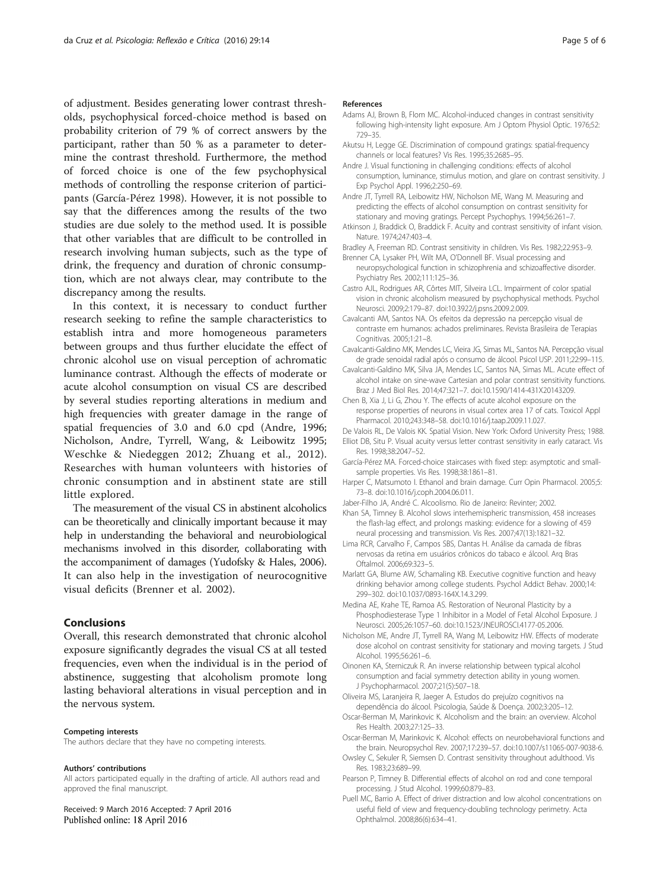<span id="page-4-0"></span>of adjustment. Besides generating lower contrast thresholds, psychophysical forced-choice method is based on probability criterion of 79 % of correct answers by the participant, rather than 50 % as a parameter to determine the contrast threshold. Furthermore, the method of forced choice is one of the few psychophysical methods of controlling the response criterion of participants (García-Pérez 1998). However, it is not possible to say that the differences among the results of the two studies are due solely to the method used. It is possible that other variables that are difficult to be controlled in research involving human subjects, such as the type of drink, the frequency and duration of chronic consumption, which are not always clear, may contribute to the discrepancy among the results.

In this context, it is necessary to conduct further research seeking to refine the sample characteristics to establish intra and more homogeneous parameters between groups and thus further elucidate the effect of chronic alcohol use on visual perception of achromatic luminance contrast. Although the effects of moderate or acute alcohol consumption on visual CS are described by several studies reporting alterations in medium and high frequencies with greater damage in the range of spatial frequencies of 3.0 and 6.0 cpd (Andre, 1996; Nicholson, Andre, Tyrrell, Wang, & Leibowitz 1995; Weschke & Niedeggen [2012;](#page-5-0) Zhuang et al., [2012](#page-5-0)). Researches with human volunteers with histories of chronic consumption and in abstinent state are still little explored.

The measurement of the visual CS in abstinent alcoholics can be theoretically and clinically important because it may help in understanding the behavioral and neurobiological mechanisms involved in this disorder, collaborating with the accompaniment of damages (Yudofsky & Hales, [2006](#page-5-0)). It can also help in the investigation of neurocognitive visual deficits (Brenner et al. 2002).

### Conclusions

Overall, this research demonstrated that chronic alcohol exposure significantly degrades the visual CS at all tested frequencies, even when the individual is in the period of abstinence, suggesting that alcoholism promote long lasting behavioral alterations in visual perception and in the nervous system.

#### Competing interests

The authors declare that they have no competing interests.

#### Authors' contributions

All actors participated equally in the drafting of article. All authors read and approved the final manuscript.

Received: 9 March 2016 Accepted: 7 April 2016 Published online: 18 April 2016

#### References

- Adams AJ, Brown B, Flom MC. Alcohol-induced changes in contrast sensitivity following high-intensity light exposure. Am J Optom Physiol Optic. 1976;52: 729–35.
- Akutsu H, Legge GE. Discrimination of compound gratings: spatial-frequency channels or local features? Vis Res. 1995;35:2685–95.
- Andre J. Visual functioning in challenging conditions: effects of alcohol consumption, luminance, stimulus motion, and glare on contrast sensitivity. J Exp Psychol Appl. 1996;2:250–69.
- Andre JT, Tyrrell RA, Leibowitz HW, Nicholson ME, Wang M. Measuring and predicting the effects of alcohol consumption on contrast sensitivity for stationary and moving gratings. Percept Psychophys. 1994;56:261–7.
- Atkinson J, Braddick O, Braddick F. Acuity and contrast sensitivity of infant vision. Nature. 1974;247:403–4.
- Bradley A, Freeman RD. Contrast sensitivity in children. Vis Res. 1982;22:953–9.
- Brenner CA, Lysaker PH, Wilt MA, O'Donnell BF. Visual processing and neuropsychological function in schizophrenia and schizoaffective disorder. Psychiatry Res. 2002;111:125–36.
- Castro AJL, Rodrigues AR, Côrtes MIT, Silveira LCL. Impairment of color spatial vision in chronic alcoholism measured by psychophysical methods. Psychol Neurosci. 2009;2:179–87. doi[:10.3922/j.psns.2009.2.009.](http://dx.doi.org/10.3922/j.psns.2009.2.009)
- Cavalcanti AM, Santos NA. Os efeitos da depressão na percepção visual de contraste em humanos: achados preliminares. Revista Brasileira de Terapias Cognitivas. 2005;1:21–8.
- Cavalcanti-Galdino MK, Mendes LC, Vieira JG, Simas ML, Santos NA. Percepção visual de grade senoidal radial após o consumo de álcool. Psicol USP. 2011;22:99–115.
- Cavalcanti-Galdino MK, Silva JA, Mendes LC, Santos NA, Simas ML. Acute effect of alcohol intake on sine-wave Cartesian and polar contrast sensitivity functions. Braz J Med Biol Res. 2014;47:321–7. doi[:10.1590/1414-431X20143209](http://dx.doi.org/10.1590/1414-431X20143209).
- Chen B, Xia J, Li G, Zhou Y. The effects of acute alcohol exposure on the response properties of neurons in visual cortex area 17 of cats. Toxicol Appl Pharmacol. 2010;243:348–58. doi:[10.1016/j.taap.2009.11.027.](http://dx.doi.org/10.1016/j.taap.2009.11.027)
- De Valois RL, De Valois KK. Spatial Vision. New York: Oxford University Press; 1988. Elliot DB, Situ P. Visual acuity versus letter contrast sensitivity in early cataract. Vis Res. 1998;38:2047–52.
- García-Pérez MA. Forced-choice staircases with fixed step: asymptotic and smallsample properties. Vis Res. 1998;38:1861–81.
- Harper C, Matsumoto I. Ethanol and brain damage. Curr Opin Pharmacol. 2005;5: 73–8. doi[:10.1016/j.coph.2004.06.011.](http://dx.doi.org/10.1016/j.coph.2004.06.011)
- Jaber-Filho JA, André C. Alcoolismo. Rio de Janeiro: Revinter; 2002.
- Khan SA, Timney B. Alcohol slows interhemispheric transmission, 458 increases the flash-lag effect, and prolongs masking: evidence for a slowing of 459 neural processing and transmission. Vis Res. 2007;47(13):1821–32.
- Lima RCR, Carvalho F, Campos SBS, Dantas H. Análise da camada de fibras nervosas da retina em usuários crônicos do tabaco e álcool. Arq Bras Oftalmol. 2006;69:323–5.
- Marlatt GA, Blume AW, Schamaling KB. Executive cognitive function and heavy drinking behavior among college students. Psychol Addict Behav. 2000;14: 299–302. doi[:10.1037/0893-164X.14.3.299](http://dx.doi.org/10.1037/0893-164X.14.3.299).
- Medina AE, Krahe TE, Ramoa AS. Restoration of Neuronal Plasticity by a Phosphodiesterase Type 1 Inhibitor in a Model of Fetal Alcohol Exposure. J Neurosci. 2005;26:1057–60. doi[:10.1523/JNEUROSCI.4177-05.2006.](http://dx.doi.org/10.1523/JNEUROSCI.4177-05.2006)
- Nicholson ME, Andre JT, Tyrrell RA, Wang M, Leibowitz HW. Effects of moderate dose alcohol on contrast sensitivity for stationary and moving targets. J Stud Alcohol. 1995;56:261–6.
- Oinonen KA, Sterniczuk R. An inverse relationship between typical alcohol consumption and facial symmetry detection ability in young women. J Psychopharmacol. 2007;21(5):507–18.
- Oliveira MS, Laranjeira R, Jaeger A. Estudos do prejuízo cognitivos na dependência do álcool. Psicologia, Saúde & Doença. 2002;3:205–12.
- Oscar-Berman M, Marinkovic K. Alcoholism and the brain: an overview. Alcohol Res Health. 2003;27:125–33.
- Oscar-Berman M, Marinkovic K. Alcohol: effects on neurobehavioral functions and the brain. Neuropsychol Rev. 2007;17:239–57. doi:[10.1007/s11065-007-9038-6](http://dx.doi.org/10.1007/s11065-007-9038-6).
- Owsley C, Sekuler R, Siemsen D. Contrast sensitivity throughout adulthood. Vis Res. 1983;23:689–99.
- Pearson P, Timney B. Differential effects of alcohol on rod and cone temporal processing. J Stud Alcohol. 1999;60:879–83.
- Puell MC, Barrio A. Effect of driver distraction and low alcohol concentrations on useful field of view and frequency-doubling technology perimetry. Acta Ophthalmol. 2008;86(6):634–41.